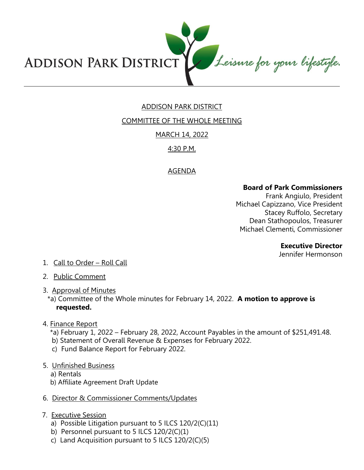

# ADDISON PARK DISTRICT

COMMITTEE OF THE WHOLE MEETING

# MARCH 14, 2022

# 4:30 P.M.

# AGENDA

## **Board of Park Commissioners**

Frank Angiulo, President Michael Capizzano, Vice President Stacey Ruffolo, Secretary Dean Stathopoulos, Treasurer Michael Clementi, Commissioner

#### **Executive Director**

Jennifer Hermonson

- 1. Call to Order Roll Call
- 2. Public Comment
- 3. Approval of Minutes
	- \*a) Committee of the Whole minutes for February 14, 2022. **A motion to approve is requested.**
- 4. Finance Report
	- \*a) February 1, 2022 February 28, 2022, Account Payables in the amount of \$251,491.48.
	- b) Statement of Overall Revenue & Expenses for February 2022.
	- c) Fund Balance Report for February 2022.
- 5. Unfinished Business
	- a) Rentals
	- b) Affiliate Agreement Draft Update
- 6. Director & Commissioner Comments/Updates
- 7. Executive Session
	- a) Possible Litigation pursuant to 5 ILCS 120/2(C)(11)
	- b) Personnel pursuant to 5 ILCS 120/2(C)(1)
	- c) Land Acquisition pursuant to 5 ILCS 120/2(C)(5)